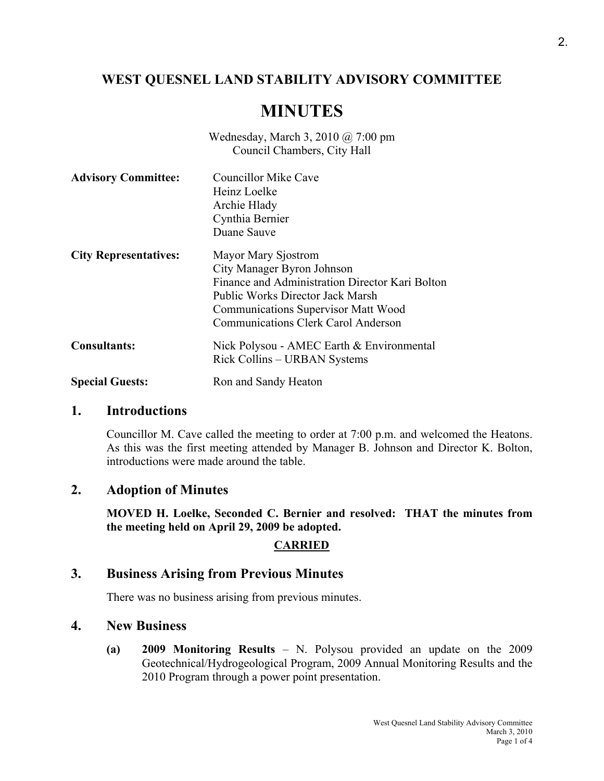# **WEST QUESNEL LAND STABILITY ADVISORY COMMITTEE**

# **MINUTES**

Wednesday, March 3, 2010 @ 7:00 pm Council Chambers, City Hall

| <b>Advisory Committee:</b>   | <b>Councillor Mike Cave</b><br>Heinz Loelke<br>Archie Hlady<br>Cynthia Bernier<br>Duane Sauve                                                                                                                                        |
|------------------------------|--------------------------------------------------------------------------------------------------------------------------------------------------------------------------------------------------------------------------------------|
| <b>City Representatives:</b> | Mayor Mary Sjostrom<br>City Manager Byron Johnson<br>Finance and Administration Director Kari Bolton<br><b>Public Works Director Jack Marsh</b><br><b>Communications Supervisor Matt Wood</b><br>Communications Clerk Carol Anderson |
| <b>Consultants:</b>          | Nick Polysou - AMEC Earth & Environmental<br>Rick Collins – URBAN Systems                                                                                                                                                            |
| <b>Special Guests:</b>       | Ron and Sandy Heaton                                                                                                                                                                                                                 |

### **1. Introductions**

Councillor M. Cave called the meeting to order at 7:00 p.m. and welcomed the Heatons. As this was the first meeting attended by Manager B. Johnson and Director K. Bolton, introductions were made around the table.

### **2. Adoption of Minutes**

**MOVED H. Loelke, Seconded C. Bernier and resolved: THAT the minutes from the meeting held on April 29, 2009 be adopted.** 

### **CARRIED**

## **3. Business Arising from Previous Minutes**

There was no business arising from previous minutes.

# **4. New Business**

**(a) 2009 Monitoring Results** – N. Polysou provided an update on the 2009 Geotechnical/Hydrogeological Program, 2009 Annual Monitoring Results and the 2010 Program through a power point presentation.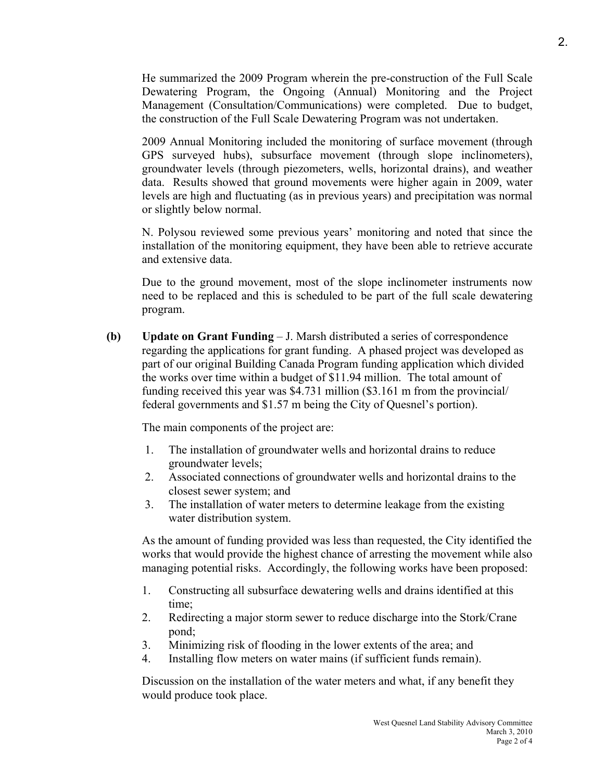He summarized the 2009 Program wherein the pre-construction of the Full Scale Dewatering Program, the Ongoing (Annual) Monitoring and the Project Management (Consultation/Communications) were completed. Due to budget, the construction of the Full Scale Dewatering Program was not undertaken.

 2009 Annual Monitoring included the monitoring of surface movement (through GPS surveyed hubs), subsurface movement (through slope inclinometers), groundwater levels (through piezometers, wells, horizontal drains), and weather data. Results showed that ground movements were higher again in 2009, water levels are high and fluctuating (as in previous years) and precipitation was normal or slightly below normal.

 N. Polysou reviewed some previous years' monitoring and noted that since the installation of the monitoring equipment, they have been able to retrieve accurate and extensive data.

 Due to the ground movement, most of the slope inclinometer instruments now need to be replaced and this is scheduled to be part of the full scale dewatering program.

**(b) Update on Grant Funding** – J. Marsh distributed a series of correspondence regarding the applications for grant funding. A phased project was developed as part of our original Building Canada Program funding application which divided the works over time within a budget of \$11.94 million. The total amount of funding received this year was \$4.731 million (\$3.161 m from the provincial/ federal governments and \$1.57 m being the City of Quesnel's portion).

The main components of the project are:

- 1. The installation of groundwater wells and horizontal drains to reduce groundwater levels;
- 2. Associated connections of groundwater wells and horizontal drains to the closest sewer system; and
- 3. The installation of water meters to determine leakage from the existing water distribution system.

As the amount of funding provided was less than requested, the City identified the works that would provide the highest chance of arresting the movement while also managing potential risks. Accordingly, the following works have been proposed:

- 1. Constructing all subsurface dewatering wells and drains identified at this time;
- 2. Redirecting a major storm sewer to reduce discharge into the Stork/Crane pond;
- 3. Minimizing risk of flooding in the lower extents of the area; and
- 4. Installing flow meters on water mains (if sufficient funds remain).

Discussion on the installation of the water meters and what, if any benefit they would produce took place.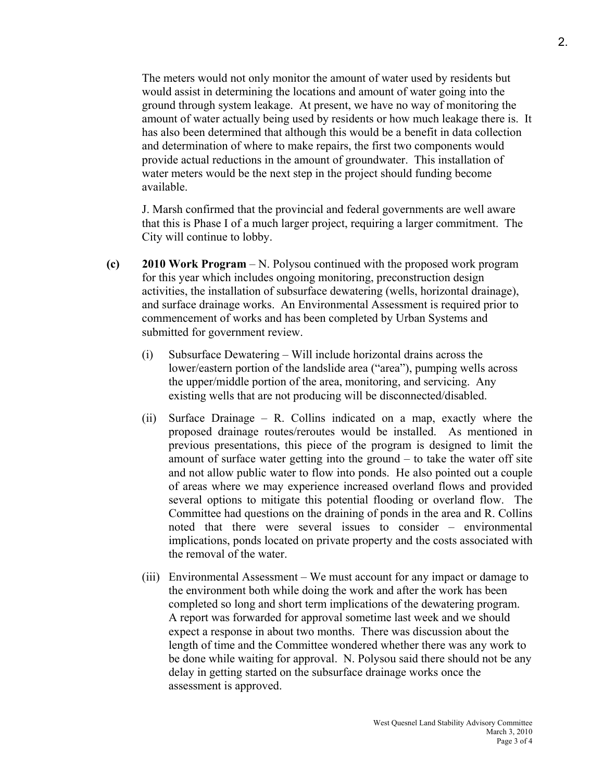The meters would not only monitor the amount of water used by residents but would assist in determining the locations and amount of water going into the ground through system leakage. At present, we have no way of monitoring the amount of water actually being used by residents or how much leakage there is. It has also been determined that although this would be a benefit in data collection and determination of where to make repairs, the first two components would provide actual reductions in the amount of groundwater. This installation of water meters would be the next step in the project should funding become available.

J. Marsh confirmed that the provincial and federal governments are well aware that this is Phase I of a much larger project, requiring a larger commitment. The City will continue to lobby.

- **(c) 2010 Work Program** N. Polysou continued with the proposed work program for this year which includes ongoing monitoring, preconstruction design activities, the installation of subsurface dewatering (wells, horizontal drainage), and surface drainage works. An Environmental Assessment is required prior to commencement of works and has been completed by Urban Systems and submitted for government review.
	- (i) Subsurface Dewatering Will include horizontal drains across the lower/eastern portion of the landslide area ("area"), pumping wells across the upper/middle portion of the area, monitoring, and servicing. Any existing wells that are not producing will be disconnected/disabled.
	- (ii) Surface Drainage R. Collins indicated on a map, exactly where the proposed drainage routes/reroutes would be installed. As mentioned in previous presentations, this piece of the program is designed to limit the amount of surface water getting into the ground – to take the water off site and not allow public water to flow into ponds. He also pointed out a couple of areas where we may experience increased overland flows and provided several options to mitigate this potential flooding or overland flow. The Committee had questions on the draining of ponds in the area and R. Collins noted that there were several issues to consider – environmental implications, ponds located on private property and the costs associated with the removal of the water.
	- (iii) Environmental Assessment We must account for any impact or damage to the environment both while doing the work and after the work has been completed so long and short term implications of the dewatering program. A report was forwarded for approval sometime last week and we should expect a response in about two months. There was discussion about the length of time and the Committee wondered whether there was any work to be done while waiting for approval. N. Polysou said there should not be any delay in getting started on the subsurface drainage works once the assessment is approved.